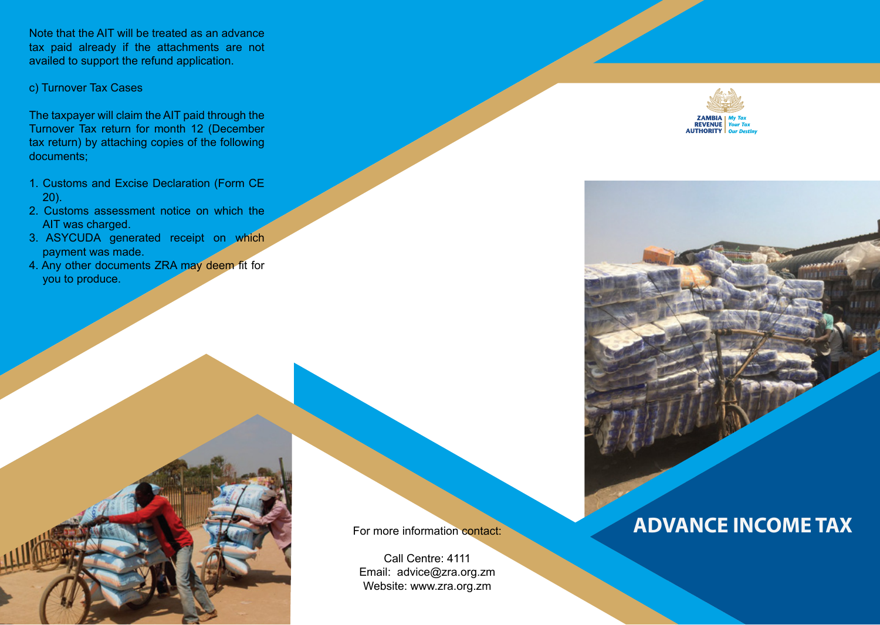Note that the AIT will be treated as an advance tax paid already if the attachments are not availed to support the refund application.

c) Turnover Tax Cases

The taxpayer will claim the AIT paid through the Turnover Tax return for month 12 (December tax return) by attaching copies of the following documents;

- 1. Customs and Excise Declaration (Form CE 20).
- 2. Customs assessment notice on which the AIT was charged.
- 3. ASYCUDA generated receipt on which payment was made.
- 4. Any other documents ZRA may deem fit for you to produce.



For more information contact:

Call Centre: 4111 Email: advice@zra.org.zm Website: www.zra.org.zm





# **ADVANCE INCOME TAX**